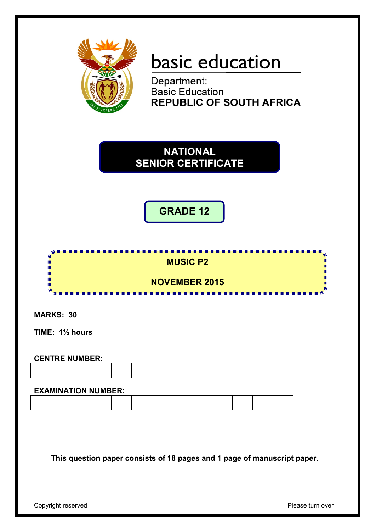

# basic education

Department: **Basic Education REPUBLIC OF SOUTH AFRICA** 



**GRADE 12**

| <b>MUSIC P2</b>      |  |
|----------------------|--|
|                      |  |
| <b>NOVEMBER 2015</b> |  |
| .                    |  |

**MARKS: 30**

**TIME: 1½ hours**

# **CENTRE NUMBER:**

#### **EXAMINATION NUMBER:**

**This question paper consists of 18 pages and 1 page of manuscript paper.**

Copyright reserved **Please** turn over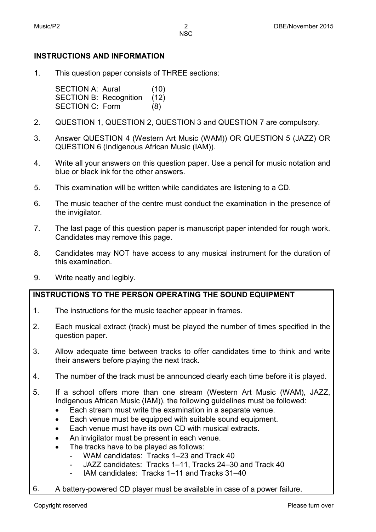# **INSTRUCTIONS AND INFORMATION**

1. This question paper consists of THREE sections:

> SECTION A: Aural (10) SECTION B: Recognition (12) SECTION C: Form (8)

- 2. QUESTION 1, QUESTION 2, QUESTION 3 and QUESTION 7 are compulsory.
- 3. Answer QUESTION 4 (Western Art Music (WAM)) OR QUESTION 5 (JAZZ) OR QUESTION 6 (Indigenous African Music (IAM)).
- 4. Write all your answers on this question paper. Use a pencil for music notation and blue or black ink for the other answers.
- 5. This examination will be written while candidates are listening to a CD.
- 6. The music teacher of the centre must conduct the examination in the presence of the invigilator.
- 7. The last page of this question paper is manuscript paper intended for rough work. Candidates may remove this page.
- 8. Candidates may NOT have access to any musical instrument for the duration of this examination.
- 9. Write neatly and legibly.

#### **INSTRUCTIONS TO THE PERSON OPERATING THE SOUND EQUIPMENT**

- 1. The instructions for the music teacher appear in frames.
- 2. Each musical extract (track) must be played the number of times specified in the question paper.
- 3. Allow adequate time between tracks to offer candidates time to think and write their answers before playing the next track.
- 4. The number of the track must be announced clearly each time before it is played.
- 5. If a school offers more than one stream (Western Art Music (WAM), JAZZ, Indigenous African Music (IAM)), the following guidelines must be followed:
	- Each stream must write the examination in a separate venue.
	- Each venue must be equipped with suitable sound equipment.
	- Each venue must have its own CD with musical extracts.
	- An invigilator must be present in each venue.
	- The tracks have to be played as follows:
		- WAM candidates: Tracks 1–23 and Track 40
		- JAZZ candidates: Tracks 1–11, Tracks 24–30 and Track 40
		- IAM candidates: Tracks 1–11 and Tracks 31–40
- 6. A battery-powered CD player must be available in case of a power failure.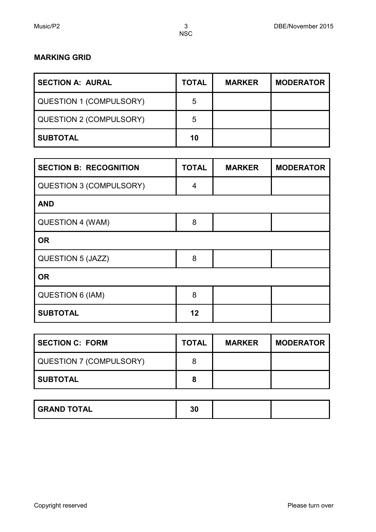#### **MARKING GRID**

| <b>SECTION A: AURAL</b> | <b>TOTAL</b> | <b>MARKER</b> | <b>MODERATOR</b> |
|-------------------------|--------------|---------------|------------------|
| QUESTION 1 (COMPULSORY) | 5            |               |                  |
| QUESTION 2 (COMPULSORY) | 5            |               |                  |
| <b>SUBTOTAL</b>         | 10           |               |                  |

| <b>SECTION B: RECOGNITION</b>  | <b>TOTAL</b> | <b>MARKER</b> | <b>MODERATOR</b> |
|--------------------------------|--------------|---------------|------------------|
| <b>QUESTION 3 (COMPULSORY)</b> | 4            |               |                  |
| <b>AND</b>                     |              |               |                  |
| QUESTION 4 (WAM)               | 8            |               |                  |
| <b>OR</b>                      |              |               |                  |
| QUESTION 5 (JAZZ)              | 8            |               |                  |
| <b>OR</b>                      |              |               |                  |
| <b>QUESTION 6 (IAM)</b>        | 8            |               |                  |
| <b>SUBTOTAL</b>                | 12           |               |                  |

| <b>SECTION C: FORM</b>  | <b>TOTAL</b> | <b>MARKER</b> | <b>MODERATOR</b> |
|-------------------------|--------------|---------------|------------------|
| QUESTION 7 (COMPULSORY) | 8            |               |                  |
| <b>SUBTOTAL</b>         | 8            |               |                  |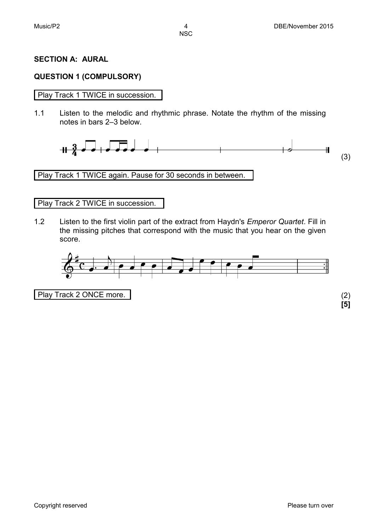## **SECTION A: AURAL**

## **QUESTION 1 (COMPULSORY)**

#### Play Track 1 TWICE in succession.

1.1 Listen to the melodic and rhythmic phrase. Notate the rhythm of the missing notes in bars 2–3 below.



Play Track 1 TWICE again. Pause for 30 seconds in between.

#### Play Track 2 TWICE in succession.

1.2 Listen to the first violin part of the extract from Haydn's *Emperor Quartet*. Fill in the missing pitches that correspond with the music that you hear on the given score.



Play Track 2 ONCE more. (2)

**[5]**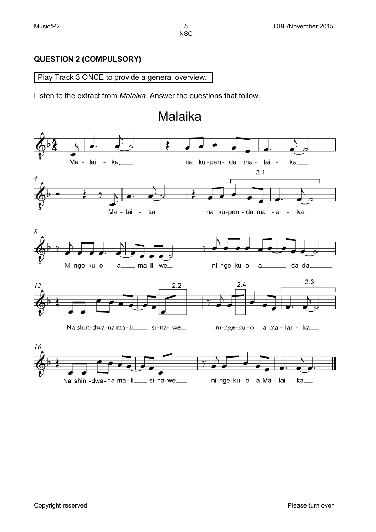# **QUESTION 2 (COMPULSORY)**

#### Play Track 3 ONCE to provide a general overview.

Listen to the extract from *Malaika*. Answer the questions that follow.

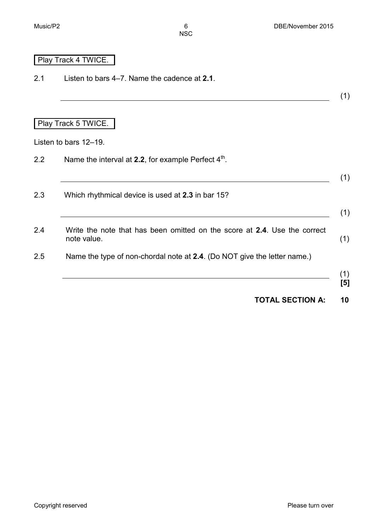# Play Track 4 TWICE.

2.1 Listen to bars 4–7. Name the cadence at **2.1**.

(1)

# Play Track 5 TWICE.

Listen to bars 12–19.

| Name the interval at 2.2, for example Perfect $4th$ .                                    |
|------------------------------------------------------------------------------------------|
| Which rhythmical device is used at 2.3 in bar 15?                                        |
| Write the note that has been omitted on the score at 2.4. Use the correct<br>note value. |
| Name the type of non-chordal note at 2.4. (Do NOT give the letter name.)                 |

**TOTAL SECTION A: 10**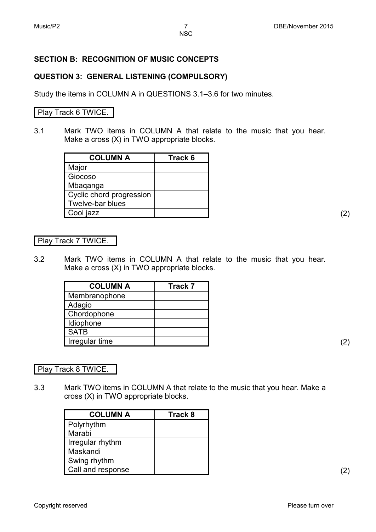# **SECTION B: RECOGNITION OF MUSIC CONCEPTS**

#### **QUESTION 3: GENERAL LISTENING (COMPULSORY)**

Study the items in COLUMN A in QUESTIONS 3.1–3.6 for two minutes.

#### Play Track 6 TWICE.

3.1 Mark TWO items in COLUMN A that relate to the music that you hear. Make a cross (X) in TWO appropriate blocks.

| <b>COLUMN A</b>          | Track 6 |
|--------------------------|---------|
| Major                    |         |
| Giocoso                  |         |
| Mbaqanga                 |         |
| Cyclic chord progression |         |
| Twelve-bar blues         |         |
| Cool jazz                |         |

#### Play Track 7 TWICE.

3.2 Mark TWO items in COLUMN A that relate to the music that you hear. Make a cross (X) in TWO appropriate blocks.

| <b>COLUMN A</b> | <b>Track 7</b> |
|-----------------|----------------|
| Membranophone   |                |
| Adagio          |                |
| Chordophone     |                |
| Idiophone       |                |
| <b>SATB</b>     |                |
| Irregular time  |                |

Play Track 8 TWICE.

3.3 Mark TWO items in COLUMN A that relate to the music that you hear. Make a cross (X) in TWO appropriate blocks.

| <b>COLUMN A</b>   | Track 8 |
|-------------------|---------|
| Polyrhythm        |         |
| Marabi            |         |
| Irregular rhythm  |         |
| Maskandi          |         |
| Swing rhythm      |         |
| Call and response |         |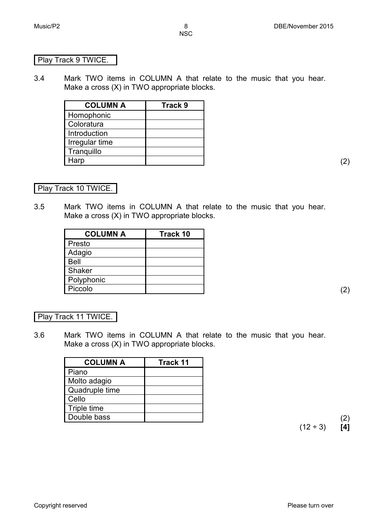#### Play Track 9 TWICE.

3.4 Mark TWO items in COLUMN A that relate to the music that you hear. Make a cross (X) in TWO appropriate blocks.

| <b>COLUMN A</b> | Track 9 |
|-----------------|---------|
| Homophonic      |         |
| Coloratura      |         |
| Introduction    |         |
| Irregular time  |         |
| Tranquillo      |         |
| Harp            |         |

Play Track 10 TWICE.

3.5 Mark TWO items in COLUMN A that relate to the music that you hear. Make a cross (X) in TWO appropriate blocks.

| <b>COLUMN A</b> | Track 10 |
|-----------------|----------|
| Presto          |          |
| Adagio          |          |
| <b>Bell</b>     |          |
| Shaker          |          |
| Polyphonic      |          |
| Piccolo         |          |

#### Play Track 11 TWICE.

3.6 Mark TWO items in COLUMN A that relate to the music that you hear. Make a cross (X) in TWO appropriate blocks.

| <b>COLUMN A</b> | Track 11 |
|-----------------|----------|
| Piano           |          |
| Molto adagio    |          |
| Quadruple time  |          |
| Cello           |          |
| Triple time     |          |
| Double bass     |          |

 $(12 \div 3)$  **[4]**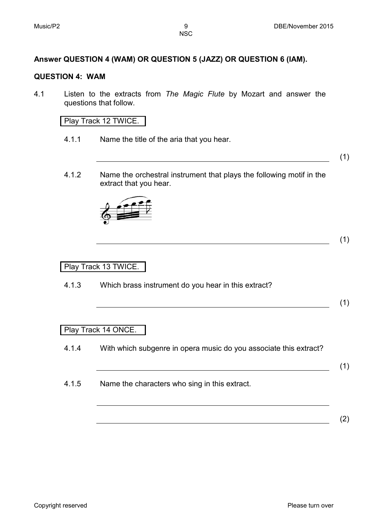# **Answer QUESTION 4 (WAM) OR QUESTION 5 (JAZZ) OR QUESTION 6 (IAM).**

#### **QUESTION 4: WAM**

4.1 Listen to the extracts from *The Magic Flute* by Mozart and answer the questions that follow.

Play Track 12 TWICE.

4.1.1 Name the title of the aria that you hear.

(1)

4.1.2 Name the orchestral instrument that plays the following motif in the extract that you hear.



# (1)

# Play Track 13 TWICE.

4.1.3 Which brass instrument do you hear in this extract?

#### (1)

#### Play Track 14 ONCE.

- 4.1.4 With which subgenre in opera music do you associate this extract?
- 4.1.5 Name the characters who sing in this extract.

(1)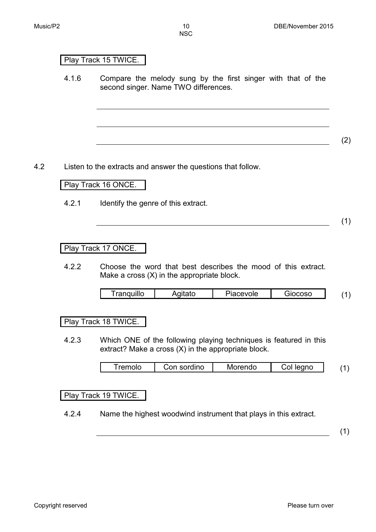# Play Track 15 TWICE.

4.1.6 Compare the melody sung by the first singer with that of the second singer. Name TWO differences.

(2)

4.2 Listen to the extracts and answer the questions that follow.

# Play Track 16 ONCE.

4.2.1 Identify the genre of this extract.

(1)

## Play Track 17 ONCE.

4.2.2 Choose the word that best describes the mood of this extract. Make a cross (X) in the appropriate block.

|  | <br>quillo<br>ran | $\sim$ | evole<br>ाता | <u>nnon</u><br>ы |  |
|--|-------------------|--------|--------------|------------------|--|
|--|-------------------|--------|--------------|------------------|--|

#### Play Track 18 TWICE.

4.2.3 Which ONE of the following playing techniques is featured in this extract? Make a cross (X) in the appropriate block.

|  | remolo | ordino<br>nn | ≅rendo<br>Mo | anc |  |
|--|--------|--------------|--------------|-----|--|
|--|--------|--------------|--------------|-----|--|

#### Play Track 19 TWICE.

4.2.4 Name the highest woodwind instrument that plays in this extract.

(1)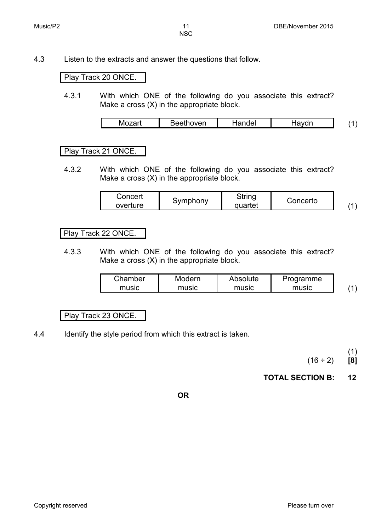4.3 Listen to the extracts and answer the questions that follow.

## Play Track 20 ONCE.

4.3.1 With which ONE of the following do you associate this extract? Make a cross (X) in the appropriate block.

|     | $\sim$ $\sim$ $\sim$ | del | --- |  |
|-----|----------------------|-----|-----|--|
| IVІ | wer.                 | $-$ | .   |  |
|     |                      |     |     |  |

## Play Track 21 ONCE.

4.3.2 With which ONE of the following do you associate this extract? Make a cross (X) in the appropriate block.

| Concert  |          | String  |          |  |
|----------|----------|---------|----------|--|
| overture | Symphony | quartet | Concerto |  |

## Play Track 22 ONCE.

4.3.3 With which ONE of the following do you associate this extract? Make a cross (X) in the appropriate block.

| Chamber | Modern | Absolute | Programme |  |
|---------|--------|----------|-----------|--|
| music   | music  | music    | music     |  |

# Play Track 23 ONCE.

4.4 Identify the style period from which this extract is taken.

(1)

 $(16 \div 2)$  **[8]** 

# **TOTAL SECTION B: 12**

**OR**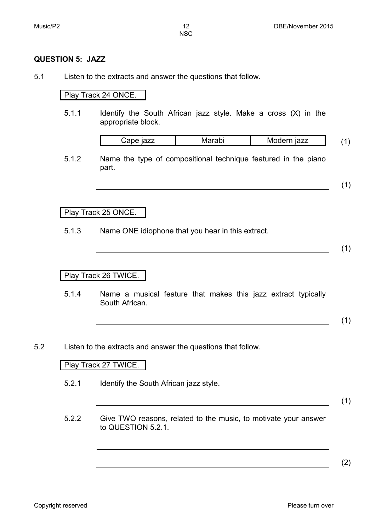#### **QUESTION 5: JAZZ**

5.1 Listen to the extracts and answer the questions that follow.

#### Play Track 24 ONCE.

5.1.1 Identify the South African jazz style. Make a cross (X) in the appropriate block.

|  | . .<br>.ar | uv | ern jazz<br>IVIC |  |
|--|------------|----|------------------|--|
|--|------------|----|------------------|--|

5.1.2 Name the type of compositional technique featured in the piano part.

(1)

#### Play Track 25 ONCE.

5.1.3 Name ONE idiophone that you hear in this extract.

(1)

#### Play Track 26 TWICE.

5.1.4 Name a musical feature that makes this jazz extract typically South African.

(1)

5.2 Listen to the extracts and answer the questions that follow.

#### Play Track 27 TWICE.

5.2.1 Identify the South African jazz style.

(1)

5.2.2 Give TWO reasons, related to the music, to motivate your answer to QUESTION 5.2.1.

(2)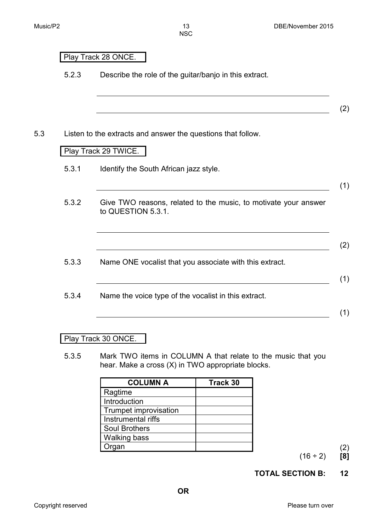(2)

(1)

- 5.2.3 Describe the role of the guitar/banjo in this extract.
- 5.3 Listen to the extracts and answer the questions that follow.

#### Play Track 29 TWICE.

Play Track 28 ONCE.

- 5.3.1 Identify the South African jazz style.
- 5.3.2 Give TWO reasons, related to the music, to motivate your answer to QUESTION 5.3.1.
- (2) 5.3.3 Name ONE vocalist that you associate with this extract. (1) 5.3.4 Name the voice type of the vocalist in this extract. (1)

#### Play Track 30 ONCE.

5.3.5 Mark TWO items in COLUMN A that relate to the music that you hear. Make a cross (X) in TWO appropriate blocks.

| <b>COLUMN A</b>       | Track 30 |
|-----------------------|----------|
| Ragtime               |          |
| Introduction          |          |
| Trumpet improvisation |          |
| Instrumental riffs    |          |
| <b>Soul Brothers</b>  |          |
| <b>Walking bass</b>   |          |
| Organ                 |          |

 $(16 \div 2)$  **[8]** 

# **TOTAL SECTION B: 12**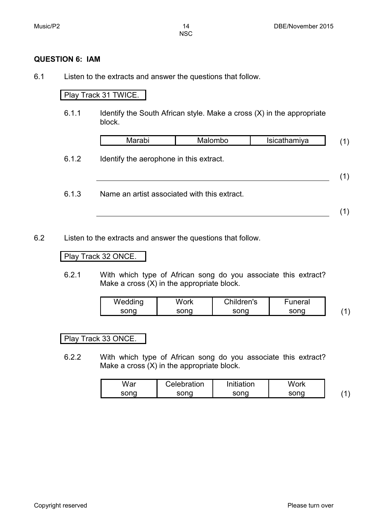#### **QUESTION 6: IAM**

6.1 Listen to the extracts and answer the questions that follow.

# Play Track 31 TWICE.

6.1.1 Identify the South African style. Make a cross (X) in the appropriate block.

| Marabi | Malombo | Isicathamiya |  |
|--------|---------|--------------|--|
|        |         |              |  |

6.1.2 Identify the aerophone in this extract.

(1)

6.1.3 Name an artist associated with this extract.

(1)

6.2 Listen to the extracts and answer the questions that follow.

## Play Track 32 ONCE.

6.2.1 With which type of African song do you associate this extract? Make a cross (X) in the appropriate block.

| Wedding | Nork | Children's | Funeral |  |
|---------|------|------------|---------|--|
| sona    | sonc | sona       |         |  |

#### Play Track 33 ONCE.

6.2.2 With which type of African song do you associate this extract? Make a cross (X) in the appropriate block.

| War  | Celebration | Initiation | Nork |  |
|------|-------------|------------|------|--|
| sona | ennr        | sona       | sona |  |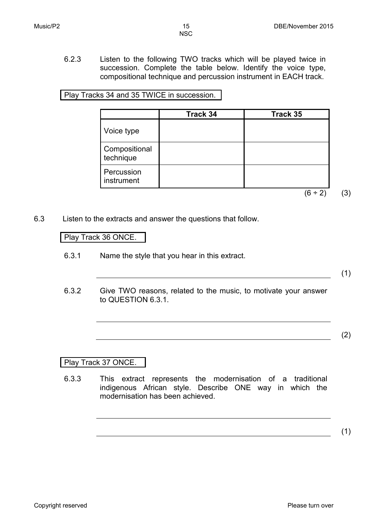6.2.3 Listen to the following TWO tracks which will be played twice in succession. Complete the table below. Identify the voice type, compositional technique and percussion instrument in EACH track.

Play Tracks 34 and 35 TWICE in succession.

|                            | Track 34 | Track 35 |  |
|----------------------------|----------|----------|--|
| Voice type                 |          |          |  |
| Compositional<br>technique |          |          |  |
| Percussion<br>instrument   |          |          |  |
|                            |          | (6 ÷ 21  |  |

6.3 Listen to the extracts and answer the questions that follow.

#### Play Track 36 ONCE.

6.3.1 Name the style that you hear in this extract.

- (1)
- 6.3.2 Give TWO reasons, related to the music, to motivate your answer to QUESTION 6.3.1.

(2)

# Play Track 37 ONCE.

6.3.3 This extract represents the modernisation of a traditional indigenous African style. Describe ONE way in which the modernisation has been achieved.

(1)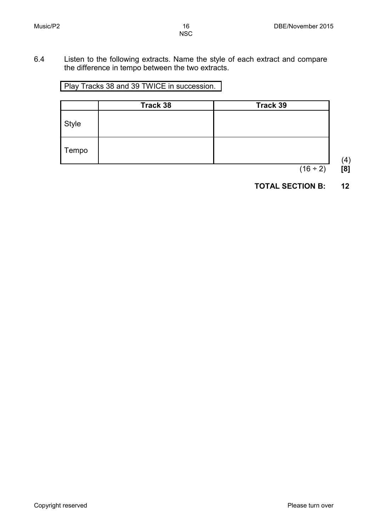6.4 Listen to the following extracts. Name the style of each extract and compare the difference in tempo between the two extracts.

Play Tracks 38 and 39 TWICE in succession.

|       | Track 38 | Track 39 |
|-------|----------|----------|
| Style |          |          |
| Tempo |          |          |

(4)  $(16 \div 2)$  [8]

# **TOTAL SECTION B: 12**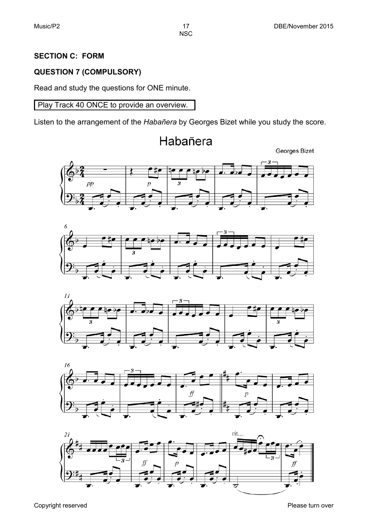# **SECTION C: FORM**

# **QUESTION 7 (COMPULSORY)**

Read and study the questions for ONE minute.

Play Track 40 ONCE to provide an overview.

Listen to the arrangement of the *Habañera* by Georges Bizet while you study the score.

Habañera











Copyright reserved **Please** turn over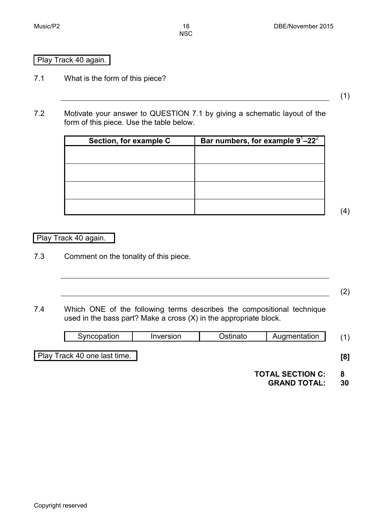#### Play Track 40 again.

7.1 What is the form of this piece?

(1)

7.2 Motivate your answer to QUESTION 7.1 by giving a schematic layout of the form of this piece. Use the table below.

| Section, for example C | Bar numbers, for example $9^1 - 22^2$ |
|------------------------|---------------------------------------|
|                        |                                       |
|                        |                                       |
|                        |                                       |
|                        |                                       |
|                        |                                       |
|                        |                                       |
|                        |                                       |
|                        |                                       |

(4)

#### Play Track 40 again.

7.3 Comment on the tonality of this piece.

7.4 Which ONE of the following terms describes the compositional technique used in the bass part? Make a cross (X) in the appropriate block.

| $\sim$<br>.<br>. .<br>.<br>$\overline{\phantom{a}}$<br>וני.<br>``<br>י ג<br>_____ |
|-----------------------------------------------------------------------------------|
|-----------------------------------------------------------------------------------|

Play Track 40 one last time. **[8]**

(2)

**TOTAL SECTION C: 8**

**GRAND TOTAL: 30**